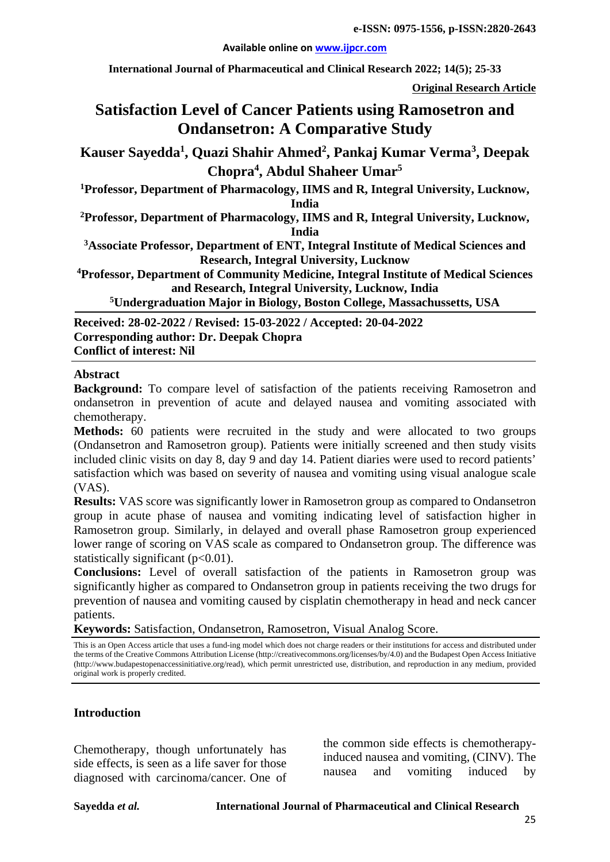#### **Available online on [www.ijpcr.com](http://www.ijpcr.com/)**

**International Journal of Pharmaceutical and Clinical Research 2022; 14(5); 25-33**

**Original Research Article**

# **Satisfaction Level of Cancer Patients using Ramosetron and Ondansetron: A Comparative Study**

**Kauser Sayedda1 , Quazi Shahir Ahmed<sup>2</sup> , Pankaj Kumar Verma<sup>3</sup> , Deepak Chopra<sup>4</sup> , Abdul Shaheer Umar5**

**1 Professor, Department of Pharmacology, IIMS and R, Integral University, Lucknow, India**

**2 Professor, Department of Pharmacology, IIMS and R, Integral University, Lucknow, India**

**3 Associate Professor, Department of ENT, Integral Institute of Medical Sciences and Research, Integral University, Lucknow**

**4 Professor, Department of Community Medicine, Integral Institute of Medical Sciences and Research, Integral University, Lucknow, India**

**5 Undergraduation Major in Biology, Boston College, Massachussetts, USA**

**Received: 28-02-2022 / Revised: 15-03-2022 / Accepted: 20-04-2022 Corresponding author: Dr. Deepak Chopra Conflict of interest: Nil**

#### **Abstract**

**Background:** To compare level of satisfaction of the patients receiving Ramosetron and ondansetron in prevention of acute and delayed nausea and vomiting associated with chemotherapy.

**Methods:** 60 patients were recruited in the study and were allocated to two groups (Ondansetron and Ramosetron group). Patients were initially screened and then study visits included clinic visits on day 8, day 9 and day 14. Patient diaries were used to record patients' satisfaction which was based on severity of nausea and vomiting using visual analogue scale (VAS).

**Results:** VAS score was significantly lower in Ramosetron group as compared to Ondansetron group in acute phase of nausea and vomiting indicating level of satisfaction higher in Ramosetron group. Similarly, in delayed and overall phase Ramosetron group experienced lower range of scoring on VAS scale as compared to Ondansetron group. The difference was statistically significant  $(p<0.01)$ .

**Conclusions:** Level of overall satisfaction of the patients in Ramosetron group was significantly higher as compared to Ondansetron group in patients receiving the two drugs for prevention of nausea and vomiting caused by cisplatin chemotherapy in head and neck cancer patients.

**Keywords:** Satisfaction, Ondansetron, Ramosetron, Visual Analog Score.

This is an Open Access article that uses a fund-ing model which does not charge readers or their institutions for access and distributed under the terms of the Creative Commons Attribution License (http://creativecommons.org/licenses/by/4.0) and the Budapest Open Access Initiative (http://www.budapestopenaccessinitiative.org/read), which permit unrestricted use, distribution, and reproduction in any medium, provided original work is properly credited.

### **Introduction**

Chemotherapy, though unfortunately has side effects, is seen as a life saver for those diagnosed with carcinoma/cancer. One of the common side effects is chemotherapyinduced nausea and vomiting, (CINV). The nausea and vomiting induced by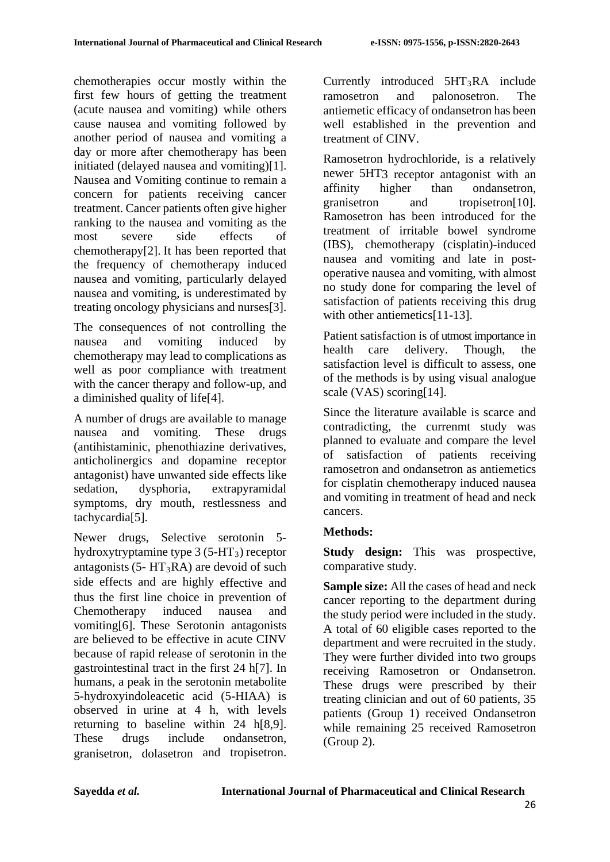chemotherapies occur mostly within the first few hours of getting the treatment (acute nausea and vomiting) while others cause nausea and vomiting followed by another period of nausea and vomiting a day or more after chemotherapy has been initiated (delayed nausea and vomiting)[1]. Nausea and Vomiting continue to remain a concern for patients receiving cancer treatment. Cancer patients often give higher ranking to the nausea and vomiting as the most severe side effects of chemotherapy[2]. It has been reported that the frequency of chemotherapy induced nausea and vomiting, particularly delayed nausea and vomiting, is underestimated by treating oncology physicians and nurses[3].

The consequences of not controlling the nausea and vomiting induced by chemotherapy may lead to complications as well as poor compliance with treatment with the cancer therapy and follow-up, and a diminished quality of life[4].

A number of drugs are available to manage nausea and vomiting. These drugs (antihistaminic, phenothiazine derivatives, anticholinergics and dopamine receptor antagonist) have unwanted side effects like sedation, dysphoria, extrapyramidal symptoms, dry mouth, restlessness and tachycardia[5].

Newer drugs, Selective serotonin 5 hydroxytryptamine type  $3(5-HT_3)$  receptor antagonists (5-  $HT_3RA$ ) are devoid of such side effects and are highly effective and thus the first line choice in prevention of Chemotherapy induced nausea and vomiting[6]. These Serotonin antagonists are believed to be effective in acute CINV because of rapid release of serotonin in the gastrointestinal tract in the first 24 h[7]. In humans, a peak in the serotonin metabolite 5-hydroxyindoleacetic acid (5-HIAA) is observed in urine at 4 h, with levels returning to baseline within 24 h[8,9]. These drugs include ondansetron, granisetron, dolasetron and tropisetron.

Currently introduced  $5HT_3RA$  include ramosetron and palonosetron. The antiemetic efficacy of ondansetron has been well established in the prevention and treatment of CINV.

Ramosetron hydrochloride, is a relatively newer 5HT3 receptor antagonist with an affinity higher than ondansetron, granisetron and tropisetron[10]. Ramosetron has been introduced for the treatment of irritable bowel syndrome (IBS), chemotherapy (cisplatin)-induced nausea and vomiting and late in postoperative nausea and vomiting, with almost no study done for comparing the level of satisfaction of patients receiving this drug with other antiemetics[11-13].

Patient satisfaction is of utmost importance in health care delivery. Though, the satisfaction level is difficult to assess, one of the methods is by using visual analogue scale (VAS) scoring[14].

Since the literature available is scarce and contradicting, the currenmt study was planned to evaluate and compare the level of satisfaction of patients receiving ramosetron and ondansetron as antiemetics for cisplatin chemotherapy induced nausea and vomiting in treatment of head and neck cancers.

# **Methods:**

**Study design:** This was prospective, comparative study.

**Sample size:** All the cases of head and neck cancer reporting to the department during the study period were included in the study. A total of 60 eligible cases reported to the department and were recruited in the study. They were further divided into two groups receiving Ramosetron or Ondansetron. These drugs were prescribed by their treating clinician and out of 60 patients, 35 patients (Group 1) received Ondansetron while remaining 25 received Ramosetron (Group 2).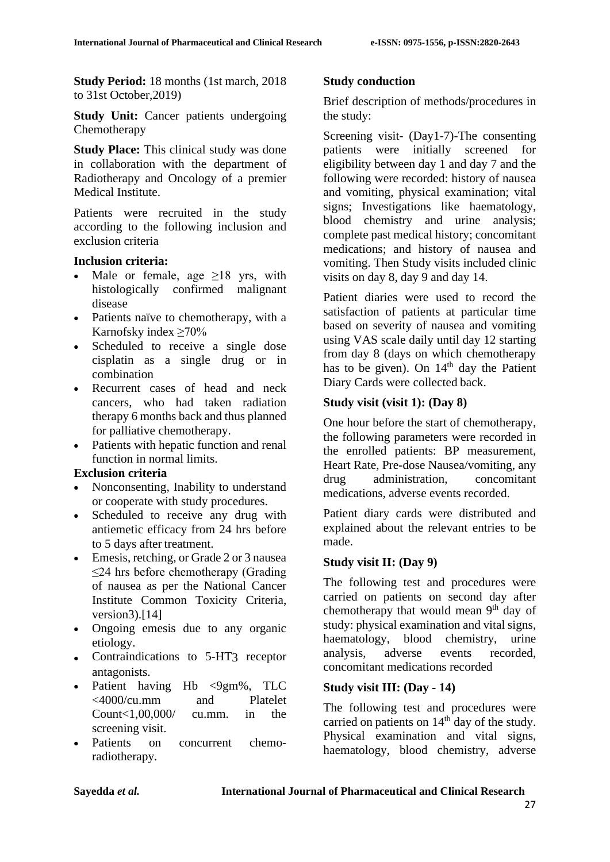**Study Period:** 18 months (1st march, 2018 to 31st October,2019)

**Study Unit:** Cancer patients undergoing Chemotherapy

**Study Place:** This clinical study was done in collaboration with the department of Radiotherapy and Oncology of a premier Medical Institute.

Patients were recruited in the study according to the following inclusion and exclusion criteria

## **Inclusion criteria:**

- Male or female, age  $\geq 18$  yrs, with histologically confirmed malignant disease
- Patients naïve to chemotherapy, with a Karnofsky index  $\geq 70\%$
- Scheduled to receive a single dose cisplatin as a single drug or in combination
- Recurrent cases of head and neck cancers, who had taken radiation therapy 6 months back and thus planned for palliative chemotherapy.
- Patients with hepatic function and renal function in normal limits.

# **Exclusion criteria**

- Nonconsenting, Inability to understand or cooperate with study procedures.
- Scheduled to receive any drug with antiemetic efficacy from 24 hrs before to 5 days after treatment.
- Emesis, retching, or Grade 2 or 3 nausea ≤24 hrs before chemotherapy (Grading of nausea as per the National Cancer Institute Common Toxicity Criteria, version3).[14]
- Ongoing emesis due to any organic etiology.
- Contraindications to 5-HT3 receptor antagonists.
- Patient having Hb <9gm%, TLC <4000/cu.mm and Platelet Count<1,00,000/ cu.mm. in the screening visit.
- Patients on concurrent chemoradiotherapy.

### **Study conduction**

Brief description of methods/procedures in the study:

Screening visit- (Day1-7)-The consenting patients were initially screened for eligibility between day 1 and day 7 and the following were recorded: history of nausea and vomiting, physical examination; vital signs; Investigations like haematology, blood chemistry and urine analysis; complete past medical history; concomitant medications; and history of nausea and vomiting. Then Study visits included clinic visits on day 8, day 9 and day 14.

Patient diaries were used to record the satisfaction of patients at particular time based on severity of nausea and vomiting using VAS scale daily until day 12 starting from day 8 (days on which chemotherapy has to be given). On  $14<sup>th</sup>$  day the Patient Diary Cards were collected back.

# **Study visit (visit 1): (Day 8)**

One hour before the start of chemotherapy, the following parameters were recorded in the enrolled patients: BP measurement, Heart Rate, Pre-dose Nausea/vomiting, any drug administration, concomitant medications, adverse events recorded.

Patient diary cards were distributed and explained about the relevant entries to be made.

# **Study visit II: (Day 9)**

The following test and procedures were carried on patients on second day after chemotherapy that would mean 9<sup>th</sup> day of study: physical examination and vital signs, haematology, blood chemistry, urine analysis, adverse events recorded, concomitant medications recorded

# **Study visit III: (Day - 14)**

The following test and procedures were carried on patients on  $14<sup>th</sup>$  day of the study. Physical examination and vital signs, haematology, blood chemistry, adverse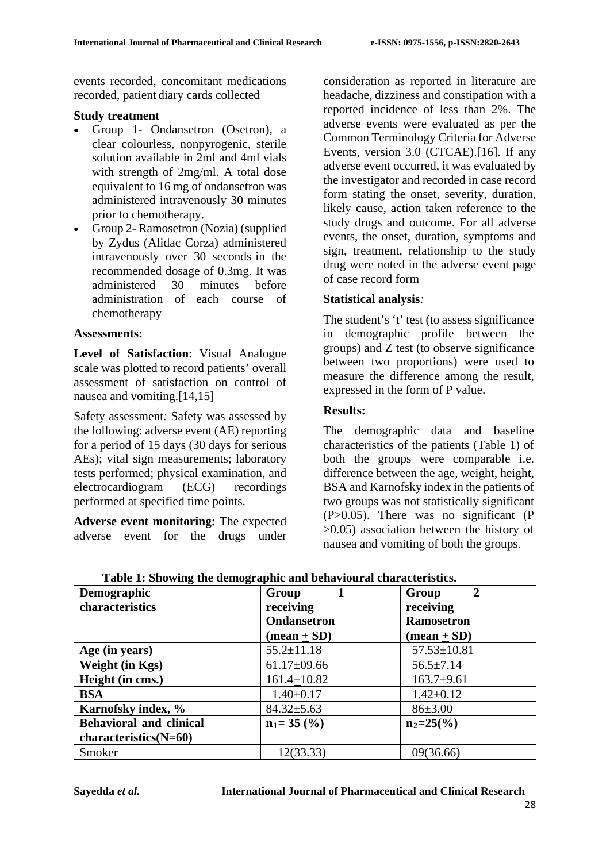events recorded, concomitant medications recorded, patient diary cards collected

#### **Study treatment**

- Group 1- Ondansetron (Osetron), a clear colourless, nonpyrogenic, sterile solution available in 2ml and 4ml vials with strength of 2mg/ml. A total dose equivalent to 16 mg of ondansetron was administered intravenously 30 minutes prior to chemotherapy.
- Group 2- Ramosetron (Nozia) (supplied by Zydus (Alidac Corza) administered intravenously over 30 seconds in the recommended dosage of 0.3mg. It was administered 30 minutes before administration of each course of chemotherapy

#### **Assessments:**

**Level of Satisfaction**: Visual Analogue scale was plotted to record patients' overall assessment of satisfaction on control of nausea and vomiting.<sup>[14,15]</sup>

Safety assessment*:* Safety was assessed by the following: adverse event (AE) reporting for a period of 15 days (30 days for serious AEs); vital sign measurements; laboratory tests performed; physical examination, and electrocardiogram (ECG) recordings performed at specified time points.

**Adverse event monitoring:** The expected adverse event for the drugs under consideration as reported in literature are headache, dizziness and constipation with a reported incidence of less than 2%. The adverse events were evaluated as per the Common Terminology Criteria for Adverse Events, version 3.0 (CTCAE).[16]. If any adverse event occurred, it was evaluated by the investigator and recorded in case record form stating the onset, severity, duration, likely cause, action taken reference to the study drugs and outcome. For all adverse events, the onset, duration, symptoms and sign, treatment, relationship to the study drug were noted in the adverse event page of case record form

### **Statistical analysis***:*

The student's 't' test (to assess significance in demographic profile between the groups) and Z test (to observe significance between two proportions) were used to measure the difference among the result, expressed in the form of P value.

### **Results:**

The demographic data and baseline characteristics of the patients (Table 1) of both the groups were comparable i.e. difference between the age, weight, height, BSA and Karnofsky index in the patients of two groups was not statistically significant (P>0.05). There was no significant (P >0.05) association between the history of nausea and vomiting of both the groups.

| $\overline{\phantom{a}}$<br>Demographic | Group                       | $\overline{2}$<br>Group     |
|-----------------------------------------|-----------------------------|-----------------------------|
| characteristics                         | receiving                   | receiving                   |
|                                         | Ondansetron                 | <b>Ramosetron</b>           |
|                                         | $(\text{mean} + \text{SD})$ | $(\text{mean} + \text{SD})$ |
| Age (in years)                          | $55.2 \pm 11.18$            | $57.53 \pm 10.81$           |
| Weight (in Kgs)                         | $61.17 \pm 09.66$           | $56.5 \pm 7.14$             |
| Height (in cms.)                        | $161.4 + 10.82$             | $163.7+9.61$                |
| <b>BSA</b>                              | $1.40 \pm 0.17$             | $1.42 \pm 0.12$             |
| Karnofsky index, %                      | $84.32 \pm 5.63$            | 86±3.00                     |
| <b>Behavioral and clinical</b>          | $n_1 = 35 \, (%)$           | $n_2=25\frac{6}{6}$         |
| $characteristics(N=60)$                 |                             |                             |
| Smoker                                  | 12(33.33)                   | 09(36.66)                   |

**Table 1: Showing the demographic and behavioural characteristics.**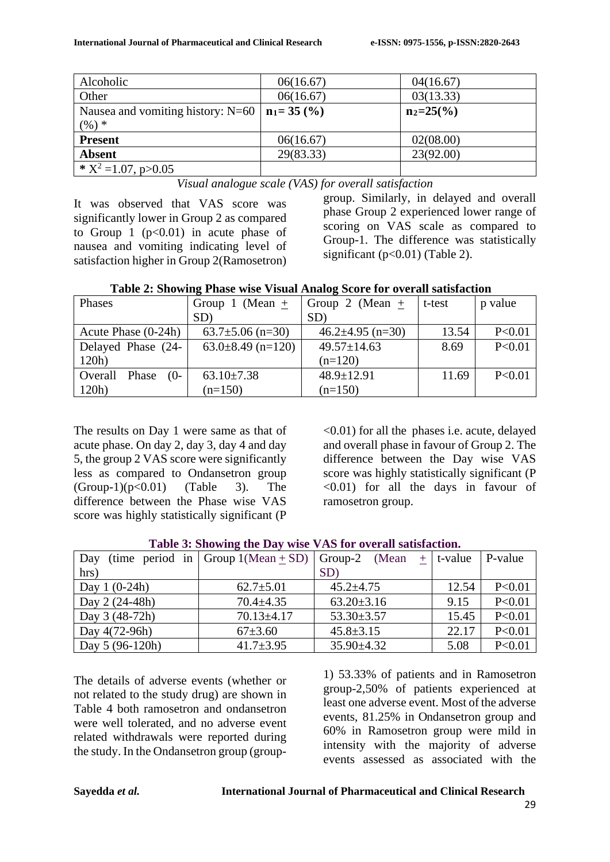| Alcoholic                           | 06(16.67)      | 04(16.67)           |
|-------------------------------------|----------------|---------------------|
| Other                               | 06(16.67)      | 03(13.33)           |
| Nausea and vomiting history: $N=60$ | $n_1 = 35$ (%) | $n_2=25\frac{6}{6}$ |
| $(%) *$                             |                |                     |
| <b>Present</b>                      | 06(16.67)      | 02(08.00)           |
| <b>Absent</b>                       | 29(83.33)      | 23(92.00)           |
| * $X^2 = 1.07$ , p>0.05             |                |                     |

*Visual analogue scale (VAS) for overall satisfaction*

It was observed that VAS score was significantly lower in Group 2 as compared to Group 1  $(p<0.01)$  in acute phase of nausea and vomiting indicating level of satisfaction higher in Group 2(Ramosetron) group. Similarly, in delayed and overall phase Group 2 experienced lower range of scoring on VAS scale as compared to Group-1. The difference was statistically significant  $(p<0.01)$  (Table 2).

| Phases                    | Group 1 (Mean $\pm$    | Group 2 (Mean $+$      | t-test | p value  |
|---------------------------|------------------------|------------------------|--------|----------|
|                           | SD)                    | SD)                    |        |          |
| Acute Phase (0-24h)       | $63.7 \pm 5.06$ (n=30) | $46.2 \pm 4.95$ (n=30) | 13.54  | P < 0.01 |
| Delayed Phase (24-        | $63.0\pm8.49$ (n=120)  | $49.57 \pm 14.63$      | 8.69   | P < 0.01 |
| 120h)                     |                        | $(n=120)$              |        |          |
| $(0-$<br>Overall<br>Phase | $63.10\pm7.38$         | $48.9 \pm 12.91$       | 11.69  | P < 0.01 |
| 120h)                     | $(n=150)$              | $(n=150)$              |        |          |

The results on Day 1 were same as that of acute phase. On day 2, day 3, day 4 and day 5, the group 2 VAS score were significantly less as compared to Ondansetron group  $(Group-1)(p<0.01)$   $(Table 3)$ . The difference between the Phase wise VAS score was highly statistically significant (P

<0.01) for all the phases i.e. acute, delayed and overall phase in favour of Group 2. The difference between the Day wise VAS score was highly statistically significant (P  $\leq 0.01$ ) for all the days in favour of ramosetron group.

| Day              | (time period in Group $1(Mean + SD)$ Group-2 | (Mean)           | $+$ t-value | P-value  |
|------------------|----------------------------------------------|------------------|-------------|----------|
| hrs)             |                                              | SD)              |             |          |
| Day $1(0-24h)$   | $62.7 \pm 5.01$                              | $45.2 \pm 4.75$  | 12.54       | P < 0.01 |
| $\log 2(24-48h)$ | $70.4 + 4.35$                                | $63.20 \pm 3.16$ | 9.15        | P<0.01   |
| $\log 3(48-72h)$ | $70.13 \pm 4.17$                             | $53.30 \pm 3.57$ | 15.45       | P < 0.01 |
| Day $4(72-96h)$  | $67\pm3.60$                                  | $45.8 \pm 3.15$  | 22.17       | P < 0.01 |
| Day $5(96-120h)$ | $41.7 \pm 3.95$                              | $35.90 \pm 4.32$ | 5.08        | P < 0.01 |

|  | Table 3: Showing the Day wise VAS for overall satisfaction. |  |  |  |  |
|--|-------------------------------------------------------------|--|--|--|--|
|--|-------------------------------------------------------------|--|--|--|--|

The details of adverse events (whether or not related to the study drug) are shown in Table 4 both ramosetron and ondansetron were well tolerated, and no adverse event related withdrawals were reported during the study. In the Ondansetron group (group1) 53.33% of patients and in Ramosetron group-2,50% of patients experienced at least one adverse event. Most of the adverse events, 81.25% in Ondansetron group and 60% in Ramosetron group were mild in intensity with the majority of adverse events assessed as associated with the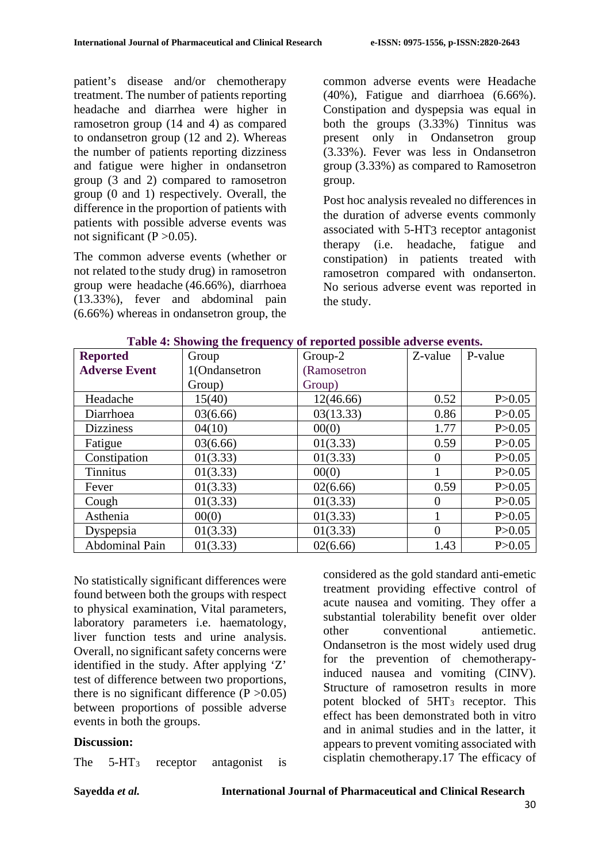patient's disease and/or chemotherapy treatment. The number of patients reporting headache and diarrhea were higher in ramosetron group (14 and 4) as compared to ondansetron group (12 and 2). Whereas the number of patients reporting dizziness and fatigue were higher in ondansetron group (3 and 2) compared to ramosetron group (0 and 1) respectively. Overall, the difference in the proportion of patients with patients with possible adverse events was not significant  $(P > 0.05)$ .

The common adverse events (whether or not related to the study drug) in ramosetron group were headache (46.66%), diarrhoea (13.33%), fever and abdominal pain (6.66%) whereas in ondansetron group, the

common adverse events were Headache (40%), Fatigue and diarrhoea (6.66%). Constipation and dyspepsia was equal in both the groups (3.33%) Tinnitus was present only in Ondansetron group (3.33%). Fever was less in Ondansetron group (3.33%) as compared to Ramosetron group.

Post hoc analysis revealed no differences in the duration of adverse events commonly associated with 5-HT3 receptor antagonist therapy (i.e. headache, fatigue and constipation) in patients treated with ramosetron compared with ondanserton. No serious adverse event was reported in the study.

| <b>Reported</b>      | Group         | Group-2     | Z-value  | P-value  |
|----------------------|---------------|-------------|----------|----------|
| <b>Adverse Event</b> | 1(Ondansetron | (Ramosetron |          |          |
|                      | Group)        | Group)      |          |          |
| Headache             | 15(40)        | 12(46.66)   | 0.52     | P > 0.05 |
| Diarrhoea            | 03(6.66)      | 03(13.33)   | 0.86     | P > 0.05 |
| <b>Dizziness</b>     | 04(10)        | 00(0)       | 1.77     | P > 0.05 |
| Fatigue              | 03(6.66)      | 01(3.33)    | 0.59     | P > 0.05 |
| Constipation         | 01(3.33)      | 01(3.33)    | 0        | P > 0.05 |
| <b>Tinnitus</b>      | 01(3.33)      | 00(0)       |          | P > 0.05 |
| Fever                | 01(3.33)      | 02(6.66)    | 0.59     | P > 0.05 |
| Cough                | 01(3.33)      | 01(3.33)    | $\Omega$ | P > 0.05 |
| Asthenia             | 00(0)         | 01(3.33)    |          | P > 0.05 |
| Dyspepsia            | 01(3.33)      | 01(3.33)    | $\Omega$ | P > 0.05 |
| Abdominal Pain       | 01(3.33)      | 02(6.66)    | 1.43     | P > 0.05 |

| Table 4: Showing the frequency of reported possible adverse events. |  |  |  |  |
|---------------------------------------------------------------------|--|--|--|--|
|---------------------------------------------------------------------|--|--|--|--|

No statistically significant differences were found between both the groups with respect to physical examination, Vital parameters, laboratory parameters i.e. haematology, liver function tests and urine analysis. Overall, no significant safety concerns were identified in the study. After applying 'Z' test of difference between two proportions, there is no significant difference  $(P > 0.05)$ between proportions of possible adverse events in both the groups.

### **Discussion:**

The 5-HT3 receptor antagonist is

considered as the gold standard anti-emetic treatment providing effective control of acute nausea and vomiting. They offer a substantial tolerability benefit over older other conventional antiemetic. Ondansetron is the most widely used drug for the prevention of chemotherapyinduced nausea and vomiting (CINV). Structure of ramosetron results in more potent blocked of 5HT<sub>3</sub> receptor. This effect has been demonstrated both in vitro and in animal studies and in the latter, it appears to prevent vomiting associated with cisplatin chemotherapy.17 The efficacy of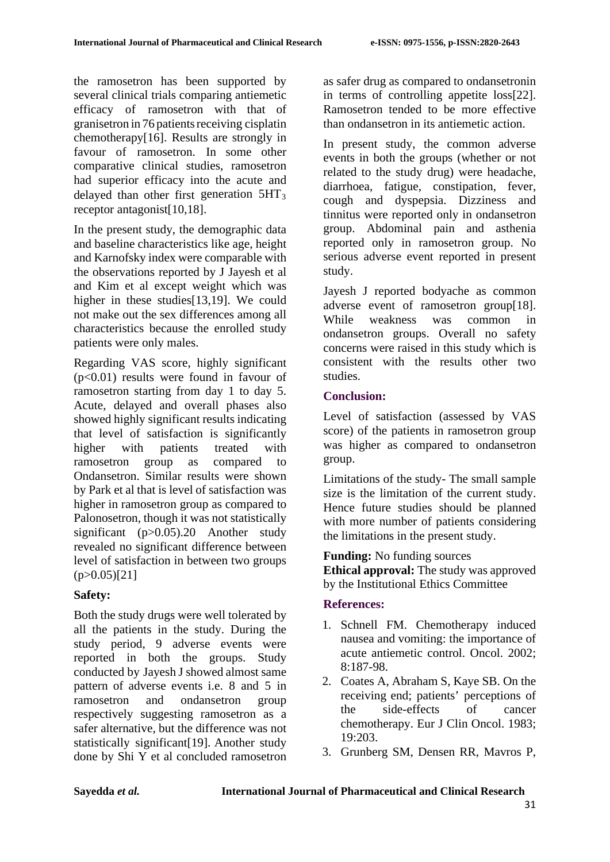the ramosetron has been supported by several clinical trials comparing antiemetic efficacy of ramosetron with that of granisetron in 76 patients receiving cisplatin chemotherapy[16]. Results are strongly in favour of ramosetron. In some other comparative clinical studies, ramosetron had superior efficacy into the acute and delayed than other first generation  $5HT_3$ receptor antagonist[10,18].

In the present study, the demographic data and baseline characteristics like age, height and Karnofsky index were comparable with the observations reported by J Jayesh et al and Kim et al except weight which was higher in these studies[13,19]. We could not make out the sex differences among all characteristics because the enrolled study patients were only males.

Regarding VAS score, highly significant (p<0.01) results were found in favour of ramosetron starting from day 1 to day 5. Acute, delayed and overall phases also showed highly significant results indicating that level of satisfaction is significantly higher with patients treated with ramosetron group as compared to Ondansetron. Similar results were shown by Park et al that is level of satisfaction was higher in ramosetron group as compared to Palonosetron, though it was not statistically significant (p>0.05).20 Another study revealed no significant difference between level of satisfaction in between two groups  $(p>0.05)[21]$ 

# **Safety:**

Both the study drugs were well tolerated by all the patients in the study. During the study period, 9 adverse events were reported in both the groups. Study conducted by Jayesh J showed almost same pattern of adverse events i.e. 8 and 5 in ramosetron and ondansetron group respectively suggesting ramosetron as a safer alternative, but the difference was not statistically significant[19]. Another study done by Shi Y et al concluded ramosetron as safer drug as compared to ondansetronin in terms of controlling appetite loss[22]. Ramosetron tended to be more effective than ondansetron in its antiemetic action.

In present study, the common adverse events in both the groups (whether or not related to the study drug) were headache, diarrhoea, fatigue, constipation, fever, cough and dyspepsia. Dizziness and tinnitus were reported only in ondansetron group. Abdominal pain and asthenia reported only in ramosetron group. No serious adverse event reported in present study.

Jayesh J reported bodyache as common adverse event of ramosetron group[18]. While weakness was common in ondansetron groups. Overall no safety concerns were raised in this study which is consistent with the results other two studies.

# **Conclusion:**

Level of satisfaction (assessed by VAS score) of the patients in ramosetron group was higher as compared to ondansetron group.

Limitations of the study- The small sample size is the limitation of the current study. Hence future studies should be planned with more number of patients considering the limitations in the present study.

**Funding:** No funding sources

**Ethical approval:** The study was approved by the Institutional Ethics Committee

# **References:**

- 1. Schnell FM. Chemotherapy induced nausea and vomiting: the importance of acute antiemetic control. Oncol. 2002; 8:187-98.
- 2. Coates A, Abraham S, Kaye SB. On the receiving end; patients' perceptions of the side-effects of cancer chemotherapy. Eur J Clin Oncol. 1983; 19:203.
- 3. Grunberg SM, Densen RR, Mavros P,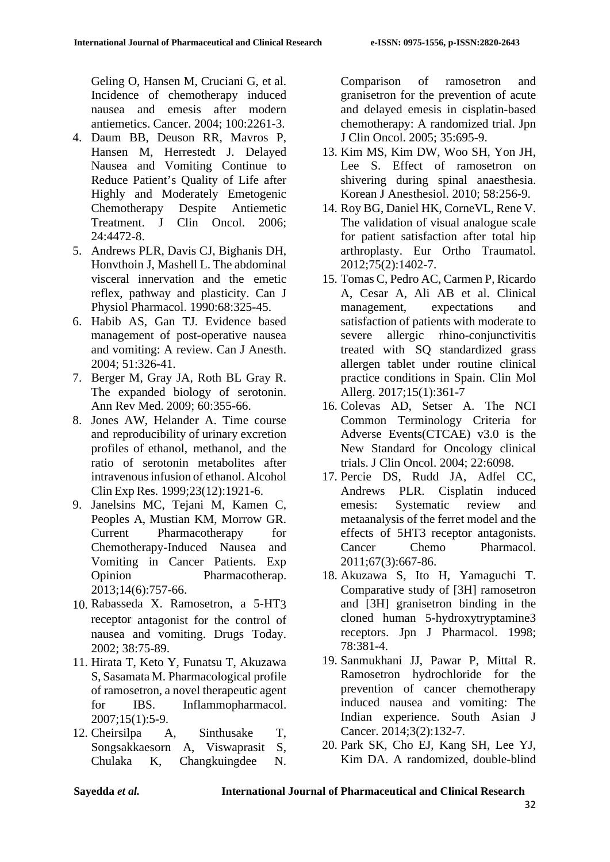Geling O, Hansen M, Cruciani G, et al. Incidence of chemotherapy induced nausea and emesis after modern antiemetics. Cancer. 2004; 100:2261-3.

- 4. Daum BB, Deuson RR, Mavros P, Hansen M, Herrestedt J. Delayed Nausea and Vomiting Continue to Reduce Patient's Quality of Life after Highly and Moderately Emetogenic Chemotherapy Despite Antiemetic Treatment. J Clin Oncol. 2006; 24:4472-8.
- 5. Andrews PLR, Davis CJ, Bighanis DH, Honvthoin J, Mashell L. The abdominal visceral innervation and the emetic reflex, pathway and plasticity. Can J Physiol Pharmacol. 1990:68:325-45.
- 6. Habib AS, Gan TJ. Evidence based management of post-operative nausea and vomiting: A review. Can J Anesth. 2004; 51:326-41.
- 7. Berger M, Gray JA, Roth BL Gray R. The expanded biology of serotonin. Ann Rev Med. 2009; 60:355-66.
- 8. Jones AW, Helander A. Time course and reproducibility of urinary excretion profiles of ethanol, methanol, and the ratio of serotonin metabolites after intravenous infusion of ethanol. Alcohol Clin Exp Res. 1999;23(12):1921-6.
- 9. Janelsins MC, Tejani M, Kamen C, Peoples A, Mustian KM, Morrow GR. Current Pharmacotherapy for Chemotherapy-Induced Nausea and Vomiting in Cancer Patients. Exp Opinion Pharmacotherap. 2013;14(6):757-66.
- 10. Rabasseda X. Ramosetron, a 5-HT3 receptor antagonist for the control of nausea and vomiting. Drugs Today. 2002; 38:75-89.
- 11. Hirata T, Keto Y, Funatsu T, Akuzawa S, Sasamata M. Pharmacological profile of ramosetron, a novel therapeutic agent for IBS. Inflammopharmacol. 2007;15(1):5-9.
- 12. Cheirsilpa A, Sinthusake T, Songsakkaesorn A, Viswaprasit S, Chulaka K, Changkuingdee N.

Comparison of ramosetron and granisetron for the prevention of acute and delayed emesis in cisplatin-based chemotherapy: A randomized trial. Jpn J Clin Oncol. 2005; 35:695-9.

- 13. Kim MS, Kim DW, Woo SH, Yon JH, Lee S. Effect of ramosetron on shivering during spinal anaesthesia. Korean J Anesthesiol. 2010; 58:256-9.
- 14. Roy BG, Daniel HK, CorneVL, Rene V. The validation of visual analogue scale for patient satisfaction after total hip arthroplasty. Eur Ortho Traumatol. 2012;75(2):1402-7.
- 15. Tomas C, Pedro AC, Carmen P, Ricardo A, Cesar A, Ali AB et al. Clinical management, expectations and satisfaction of patients with moderate to severe allergic rhino-conjunctivitis treated with SQ standardized grass allergen tablet under routine clinical practice conditions in Spain. Clin Mol Allerg. 2017;15(1):361-7
- 16. Colevas AD, Setser A. The NCI Common Terminology Criteria for Adverse Events(CTCAE) v3.0 is the New Standard for Oncology clinical trials. J Clin Oncol. 2004; 22:6098.
- 17. Percie DS, Rudd JA, Adfel CC, Andrews PLR. Cisplatin induced emesis: Systematic review and metaanalysis of the ferret model and the effects of 5HT3 receptor antagonists. Cancer Chemo Pharmacol. 2011;67(3):667-86.
- 18. Akuzawa S, Ito H, Yamaguchi T. Comparative study of [3H] ramosetron and [3H] granisetron binding in the cloned human 5-hydroxytryptamine3 receptors. Jpn J Pharmacol. 1998; 78:381-4.
- 19. Sanmukhani JJ, Pawar P, Mittal R. Ramosetron hydrochloride for the prevention of cancer chemotherapy induced nausea and vomiting: The Indian experience. South Asian J Cancer. 2014;3(2):132-7.
- 20. Park SK, Cho EJ, Kang SH, Lee YJ, Kim DA. A randomized, double-blind